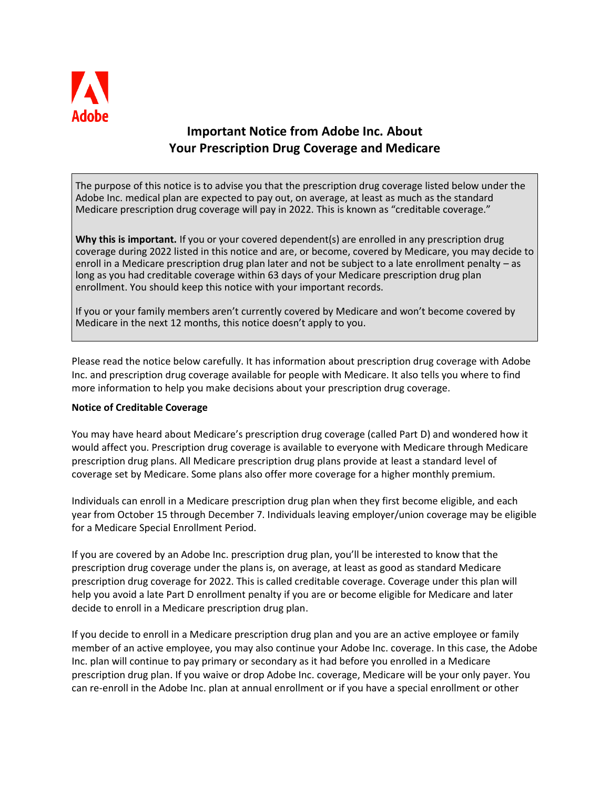

## **Important Notice from Adobe Inc. About Your Prescription Drug Coverage and Medicare**

The purpose of this notice is to advise you that the prescription drug coverage listed below under the Adobe Inc. medical plan are expected to pay out, on average, at least as much as the standard Medicare prescription drug coverage will pay in 2022. This is known as "creditable coverage."

**Why this is important.** If you or your covered dependent(s) are enrolled in any prescription drug coverage during 2022 listed in this notice and are, or become, covered by Medicare, you may decide to enroll in a Medicare prescription drug plan later and not be subject to a late enrollment penalty – as long as you had creditable coverage within 63 days of your Medicare prescription drug plan enrollment. You should keep this notice with your important records.

If you or your family members aren't currently covered by Medicare and won't become covered by Medicare in the next 12 months, this notice doesn't apply to you.

Please read the notice below carefully. It has information about prescription drug coverage with Adobe Inc. and prescription drug coverage available for people with Medicare. It also tells you where to find more information to help you make decisions about your prescription drug coverage.

## **Notice of Creditable Coverage**

You may have heard about Medicare's prescription drug coverage (called Part D) and wondered how it would affect you. Prescription drug coverage is available to everyone with Medicare through Medicare prescription drug plans. All Medicare prescription drug plans provide at least a standard level of coverage set by Medicare. Some plans also offer more coverage for a higher monthly premium.

Individuals can enroll in a Medicare prescription drug plan when they first become eligible, and each year from October 15 through December 7. Individuals leaving employer/union coverage may be eligible for a Medicare Special Enrollment Period.

If you are covered by an Adobe Inc. prescription drug plan, you'll be interested to know that the prescription drug coverage under the plans is, on average, at least as good as standard Medicare prescription drug coverage for 2022. This is called creditable coverage. Coverage under this plan will help you avoid a late Part D enrollment penalty if you are or become eligible for Medicare and later decide to enroll in a Medicare prescription drug plan.

If you decide to enroll in a Medicare prescription drug plan and you are an active employee or family member of an active employee, you may also continue your Adobe Inc. coverage. In this case, the Adobe Inc. plan will continue to pay primary or secondary as it had before you enrolled in a Medicare prescription drug plan. If you waive or drop Adobe Inc. coverage, Medicare will be your only payer. You can re-enroll in the Adobe Inc. plan at annual enrollment or if you have a special enrollment or other